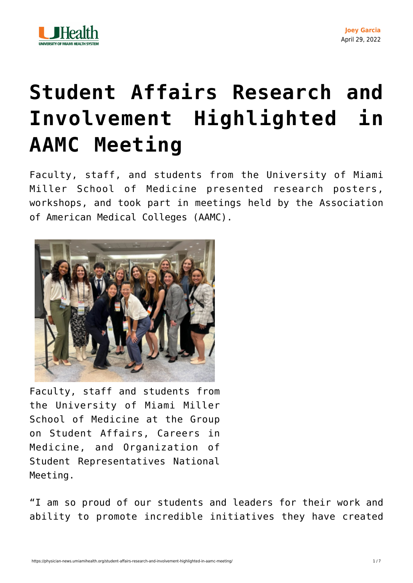

## **[Student Affairs Research and](https://physician-news.umiamihealth.org/student-affairs-research-and-involvement-highlighted-in-aamc-meeting/) [Involvement Highlighted in](https://physician-news.umiamihealth.org/student-affairs-research-and-involvement-highlighted-in-aamc-meeting/) [AAMC Meeting](https://physician-news.umiamihealth.org/student-affairs-research-and-involvement-highlighted-in-aamc-meeting/)**

Faculty, staff, and students from the University of Miami Miller School of Medicine presented research posters, workshops, and took part in meetings held by the Association of American Medical Colleges (AAMC).



Faculty, staff and students from the University of Miami Miller School of Medicine at the Group on Student Affairs, Careers in Medicine, and Organization of Student Representatives National Meeting.

"I am so proud of our students and leaders for their work and ability to promote incredible initiatives they have created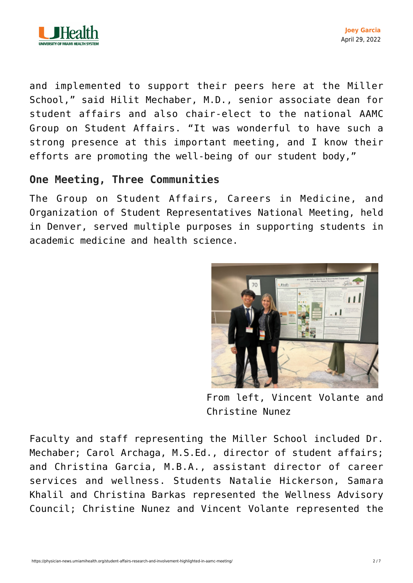

and implemented to support their peers here at the Miller School," said Hilit Mechaber, M.D., senior associate dean for student affairs and also chair-elect to the national AAMC Group on Student Affairs. "It was wonderful to have such a strong presence at this important meeting, and I know their efforts are promoting the well-being of our student body,"

## **One Meeting, Three Communities**

The Group on Student Affairs, Careers in Medicine, and Organization of Student Representatives National Meeting, held in Denver, served multiple purposes in supporting students in academic medicine and health science.



From left, Vincent Volante and Christine Nunez

Faculty and staff representing the Miller School included Dr. Mechaber; Carol Archaga, M.S.Ed., director of student affairs; and Christina Garcia, M.B.A., assistant director of career services and wellness. Students Natalie Hickerson, Samara Khalil and Christina Barkas represented the Wellness Advisory Council; Christine Nunez and Vincent Volante represented the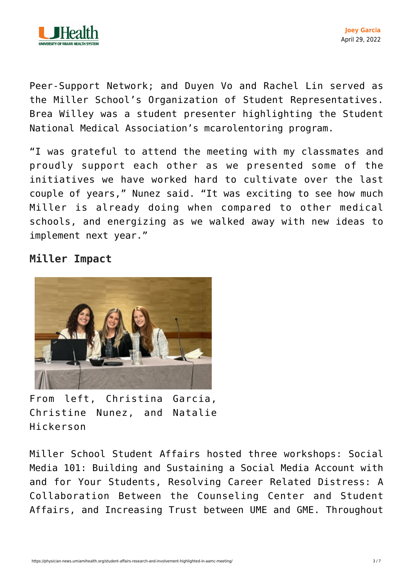

Peer-Support Network; and Duyen Vo and Rachel Lin served as the Miller School's Organization of Student Representatives. Brea Willey was a student presenter highlighting the Student National Medical Association's mcarolentoring program.

"I was grateful to attend the meeting with my classmates and proudly support each other as we presented some of the initiatives we have worked hard to cultivate over the last couple of years," Nunez said. "It was exciting to see how much Miller is already doing when compared to other medical schools, and energizing as we walked away with new ideas to implement next year."

## **Miller Impact**



From left, Christina Garcia, Christine Nunez, and Natalie Hickerson

Miller School Student Affairs hosted three workshops: Social Media 101: Building and Sustaining a Social Media Account with and for Your Students, Resolving Career Related Distress: A Collaboration Between the Counseling Center and Student Affairs, and Increasing Trust between UME and GME. Throughout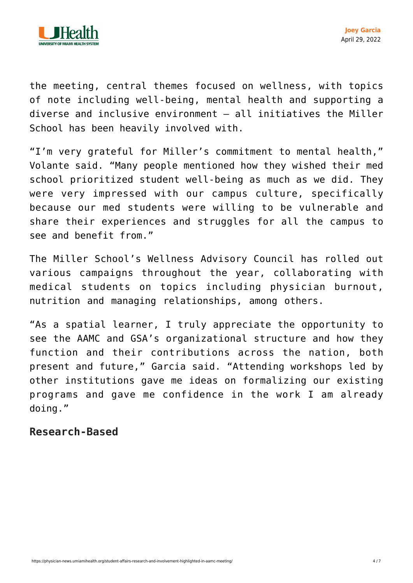

the meeting, central themes focused on wellness, with topics of note including well-being, mental health and supporting a diverse and inclusive environment — all initiatives the Miller School has been heavily involved with.

"I'm very grateful for Miller's commitment to mental health," Volante said. "Many people mentioned how they wished their med school prioritized student well-being as much as we did. They were very impressed with our campus culture, specifically because our med students were willing to be vulnerable and share their experiences and struggles for all the campus to see and benefit from."

The Miller School's Wellness Advisory Council has rolled out various campaigns throughout the year, collaborating with medical students on topics including physician burnout, nutrition and managing relationships, among others.

"As a spatial learner, I truly appreciate the opportunity to see the AAMC and GSA's organizational structure and how they function and their contributions across the nation, both present and future," Garcia said. "Attending workshops led by other institutions gave me ideas on formalizing our existing programs and gave me confidence in the work I am already doing."

## **Research-Based**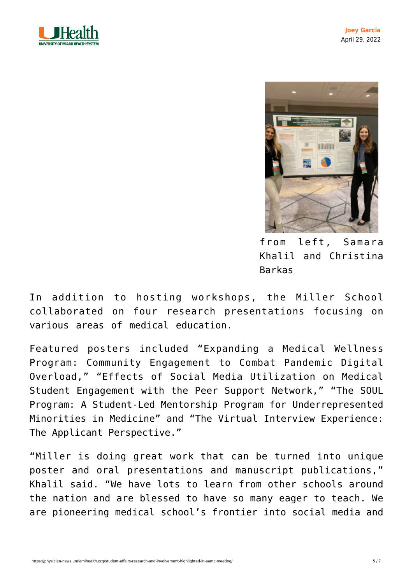



from left, Samara Khalil and Christina Barkas

In addition to hosting workshops, the Miller School collaborated on four research presentations focusing on various areas of medical education.

Featured posters included "Expanding a Medical Wellness Program: Community Engagement to Combat Pandemic Digital Overload," "Effects of Social Media Utilization on Medical Student Engagement with the Peer Support Network," "The SOUL Program: A Student-Led Mentorship Program for Underrepresented Minorities in Medicine" and "The Virtual Interview Experience: The Applicant Perspective."

"Miller is doing great work that can be turned into unique poster and oral presentations and manuscript publications," Khalil said. "We have lots to learn from other schools around the nation and are blessed to have so many eager to teach. We are pioneering medical school's frontier into social media and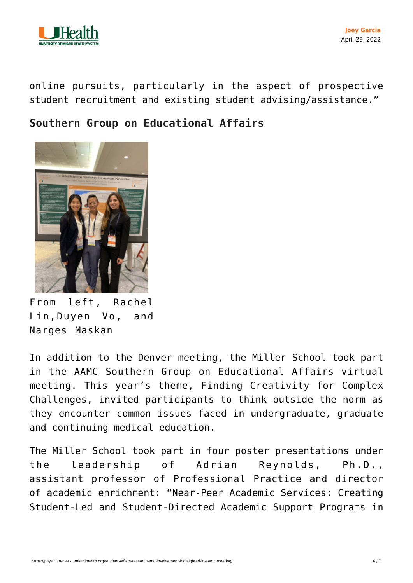

online pursuits, particularly in the aspect of prospective student recruitment and existing student advising/assistance."

**Southern Group on Educational Affairs**



From left, Rachel Lin,Duyen Vo, and Narges Maskan

In addition to the Denver meeting, the Miller School took part in the AAMC Southern Group on Educational Affairs virtual meeting. This year's theme, Finding Creativity for Complex Challenges, invited participants to think outside the norm as they encounter common issues faced in undergraduate, graduate and continuing medical education.

The Miller School took part in four poster presentations under the leadership of Adrian Reynolds, Ph.D., assistant professor of Professional Practice and director of [academic enrichment:](https://med.miami.edu/en/medical-education/divisions/student-services/academic-enrichment-services) "Near-Peer Academic Services: Creating Student-Led and Student-Directed Academic Support Programs in